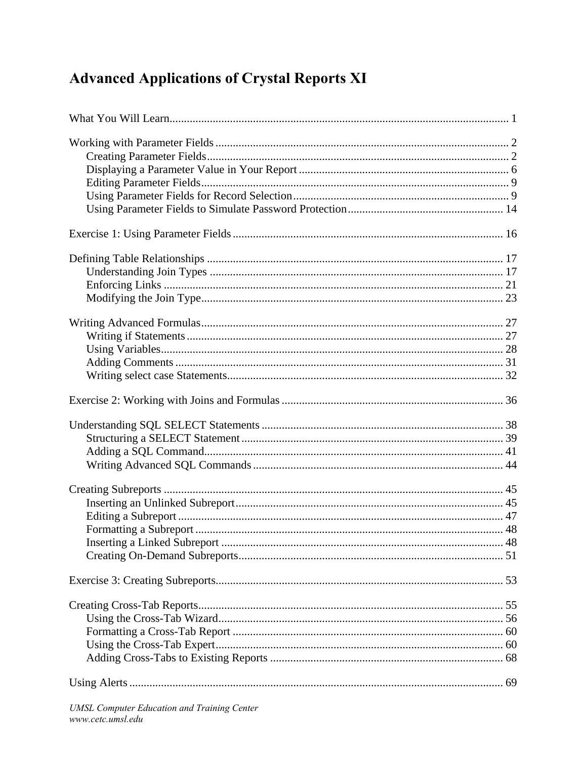## **Advanced Applications of Crystal Reports XI**